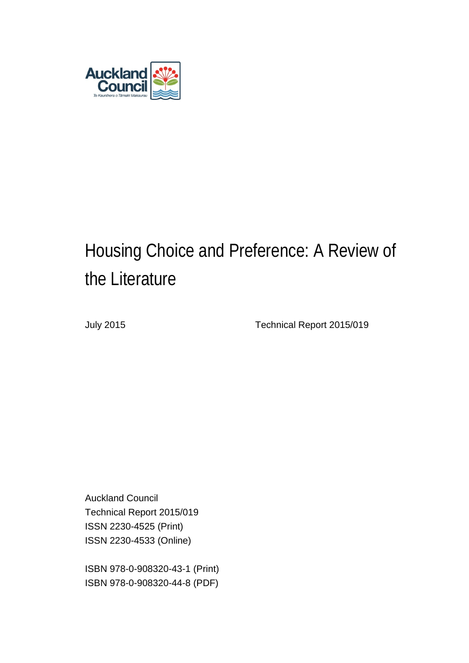

# Housing Choice and Preference: A Review of the Literature

July 2015 Technical Report 2015/019

Auckland Council Technical Report 2015/019 ISSN 2230-4525 (Print) ISSN 2230-4533 (Online)

ISBN 978-0-908320-43-1 (Print) ISBN 978-0-908320-44-8 (PDF)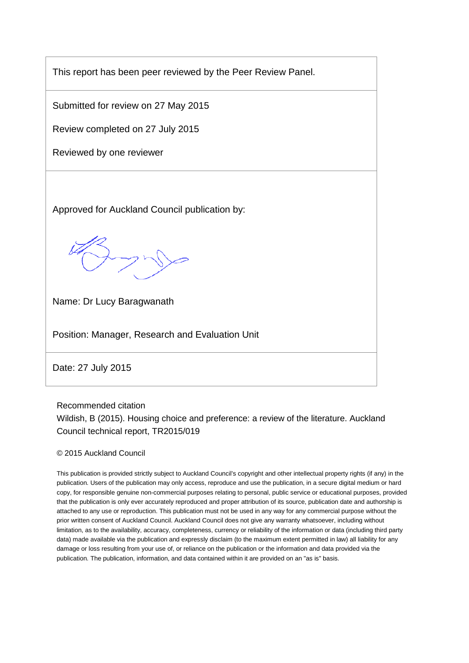This report has been peer reviewed by the Peer Review Panel.

Submitted for review on 27 May 2015

Review completed on 27 July 2015

Reviewed by one reviewer

Approved for Auckland Council publication by:

Name: Dr Lucy Baragwanath

Position: Manager, Research and Evaluation Unit

Date: 27 July 2015

Recommended citation Wildish, B (2015). Housing choice and preference: a review of the literature. Auckland Council technical report, TR2015/019

#### © 2015 Auckland Council

This publication is provided strictly subject to Auckland Council's copyright and other intellectual property rights (if any) in the publication. Users of the publication may only access, reproduce and use the publication, in a secure digital medium or hard copy, for responsible genuine non-commercial purposes relating to personal, public service or educational purposes, provided that the publication is only ever accurately reproduced and proper attribution of its source, publication date and authorship is attached to any use or reproduction. This publication must not be used in any way for any commercial purpose without the prior written consent of Auckland Council. Auckland Council does not give any warranty whatsoever, including without limitation, as to the availability, accuracy, completeness, currency or reliability of the information or data (including third party data) made available via the publication and expressly disclaim (to the maximum extent permitted in law) all liability for any damage or loss resulting from your use of, or reliance on the publication or the information and data provided via the publication. The publication, information, and data contained within it are provided on an "as is" basis.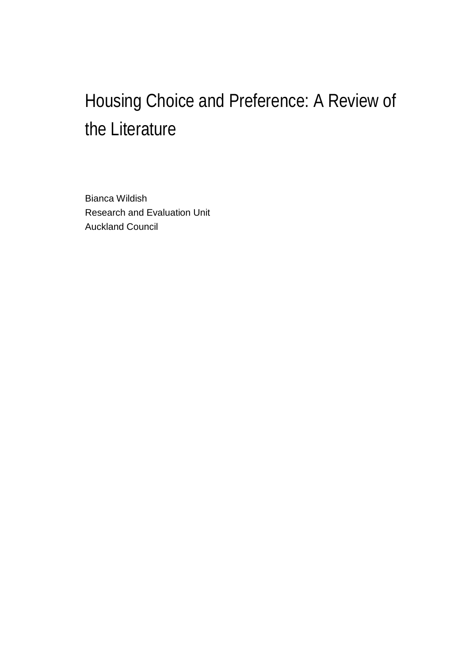# Housing Choice and Preference: A Review of the Literature

Bianca Wildish Research and Evaluation Unit Auckland Council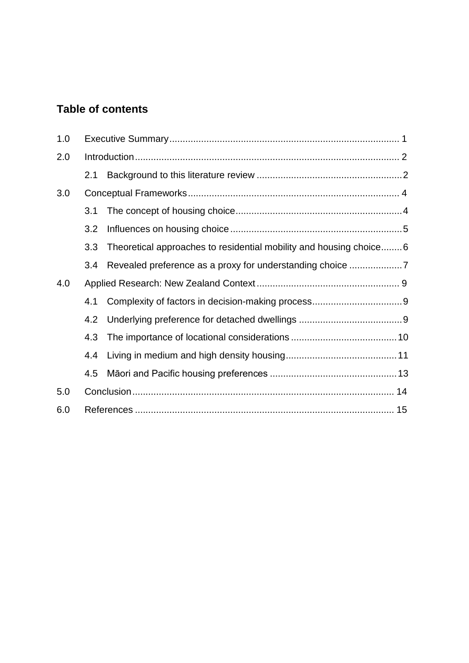### **Table of contents**

| 1.0 |     |                                                                    |  |  |
|-----|-----|--------------------------------------------------------------------|--|--|
| 2.0 |     |                                                                    |  |  |
|     | 2.1 |                                                                    |  |  |
| 3.0 |     |                                                                    |  |  |
|     | 3.1 |                                                                    |  |  |
|     | 3.2 |                                                                    |  |  |
|     | 3.3 | Theoretical approaches to residential mobility and housing choice6 |  |  |
|     | 3.4 |                                                                    |  |  |
| 4.0 |     |                                                                    |  |  |
|     | 4.1 |                                                                    |  |  |
|     | 4.2 |                                                                    |  |  |
|     | 4.3 |                                                                    |  |  |
|     | 4.4 |                                                                    |  |  |
|     | 4.5 |                                                                    |  |  |
| 5.0 |     |                                                                    |  |  |
| 6.0 |     |                                                                    |  |  |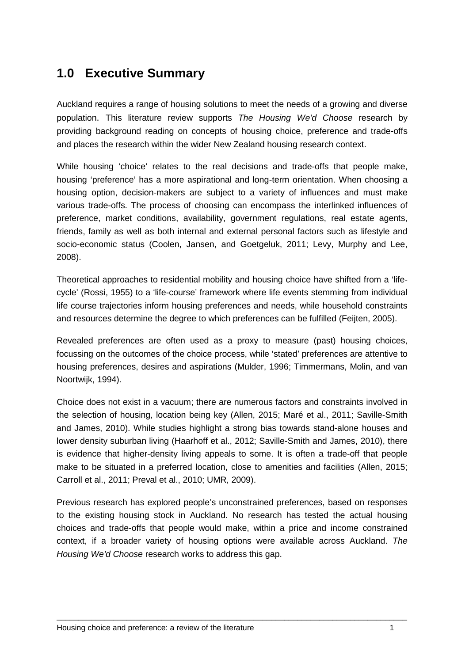## <span id="page-4-0"></span>**1.0 Executive Summary**

Auckland requires a range of housing solutions to meet the needs of a growing and diverse population. This literature review supports *The Housing We'd Choose* research by providing background reading on concepts of housing choice, preference and trade-offs and places the research within the wider New Zealand housing research context.

While housing 'choice' relates to the real decisions and trade-offs that people make, housing 'preference' has a more aspirational and long-term orientation. When choosing a housing option, decision-makers are subject to a variety of influences and must make various trade-offs. The process of choosing can encompass the interlinked influences of preference, market conditions, availability, government regulations, real estate agents, friends, family as well as both internal and external personal factors such as lifestyle and socio-economic status (Coolen, Jansen, and Goetgeluk, 2011; Levy, Murphy and Lee, 2008).

Theoretical approaches to residential mobility and housing choice have shifted from a 'lifecycle' (Rossi, 1955) to a 'life-course' framework where life events stemming from individual life course trajectories inform housing preferences and needs, while household constraints and resources determine the degree to which preferences can be fulfilled (Feijten, 2005).

Revealed preferences are often used as a proxy to measure (past) housing choices, focussing on the outcomes of the choice process, while 'stated' preferences are attentive to housing preferences, desires and aspirations (Mulder, 1996; Timmermans, Molin, and van Noortwijk, 1994).

Choice does not exist in a vacuum; there are numerous factors and constraints involved in the selection of housing, location being key (Allen, 2015; Maré et al., 2011; Saville-Smith and James, 2010). While studies highlight a strong bias towards stand-alone houses and lower density suburban living (Haarhoff et al., 2012; Saville-Smith and James, 2010), there is evidence that higher-density living appeals to some. It is often a trade-off that people make to be situated in a preferred location, close to amenities and facilities (Allen, 2015; Carroll et al., 2011; Preval et al., 2010; UMR, 2009).

Previous research has explored people's unconstrained preferences, based on responses to the existing housing stock in Auckland. No research has tested the actual housing choices and trade-offs that people would make, within a price and income constrained context, if a broader variety of housing options were available across Auckland. *The Housing We'd Choose* research works to address this gap.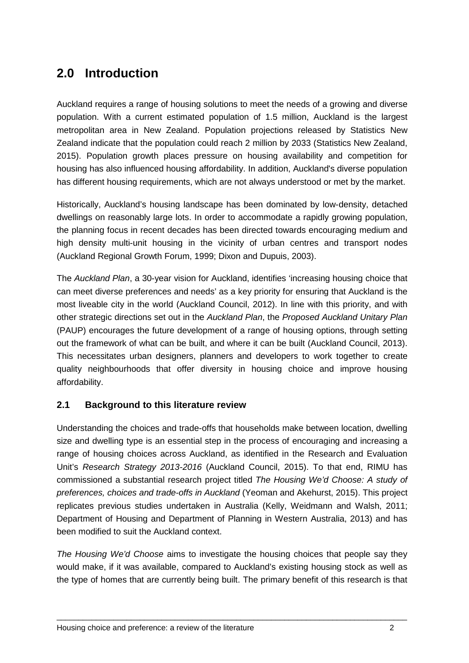## <span id="page-5-0"></span>**2.0 Introduction**

Auckland requires a range of housing solutions to meet the needs of a growing and diverse population. With a current estimated population of 1.5 million, Auckland is the largest metropolitan area in New Zealand. Population projections released by Statistics New Zealand indicate that the population could reach 2 million by 2033 (Statistics New Zealand, 2015). Population growth places pressure on housing availability and competition for housing has also influenced housing affordability. In addition, Auckland's diverse population has different housing requirements, which are not always understood or met by the market.

Historically, Auckland's housing landscape has been dominated by low-density, detached dwellings on reasonably large lots. In order to accommodate a rapidly growing population, the planning focus in recent decades has been directed towards encouraging medium and high density multi-unit housing in the vicinity of urban centres and transport nodes (Auckland Regional Growth Forum, 1999; Dixon and Dupuis, 2003).

The *Auckland Plan*, a 30-year vision for Auckland, identifies 'increasing housing choice that can meet diverse preferences and needs' as a key priority for ensuring that Auckland is the most liveable city in the world (Auckland Council, 2012). In line with this priority, and with other strategic directions set out in the *Auckland Plan*, the *Proposed Auckland Unitary Plan*  (PAUP) encourages the future development of a range of housing options, through setting out the framework of what can be built, and where it can be built (Auckland Council, 2013). This necessitates urban designers, planners and developers to work together to create quality neighbourhoods that offer diversity in housing choice and improve housing affordability.

#### <span id="page-5-1"></span>**2.1 Background to this literature review**

Understanding the choices and trade-offs that households make between location, dwelling size and dwelling type is an essential step in the process of encouraging and increasing a range of housing choices across Auckland, as identified in the Research and Evaluation Unit's *Research Strategy 2013-2016* (Auckland Council, 2015). To that end, RIMU has commissioned a substantial research project titled *The Housing We'd Choose: A study of preferences, choices and trade-offs in Auckland* (Yeoman and Akehurst, 2015). This project replicates previous studies undertaken in Australia (Kelly, Weidmann and Walsh, 2011; Department of Housing and Department of Planning in Western Australia, 2013) and has been modified to suit the Auckland context.

*The Housing We'd Choose* aims to investigate the housing choices that people say they would make, if it was available, compared to Auckland's existing housing stock as well as the type of homes that are currently being built. The primary benefit of this research is that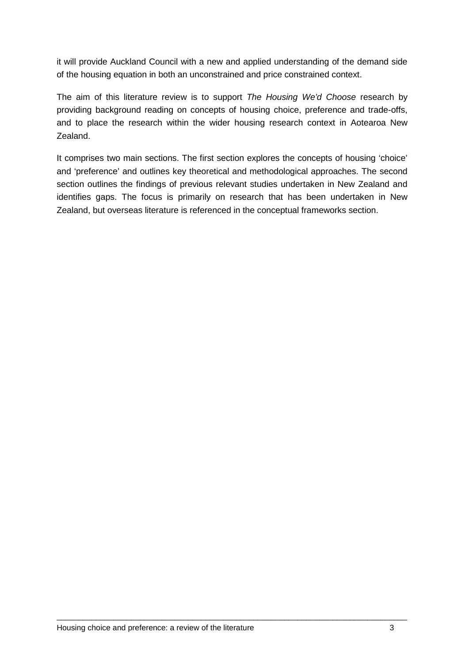it will provide Auckland Council with a new and applied understanding of the demand side of the housing equation in both an unconstrained and price constrained context.

The aim of this literature review is to support *The Housing We'd Choose* research by providing background reading on concepts of housing choice, preference and trade-offs, and to place the research within the wider housing research context in Aotearoa New Zealand.

It comprises two main sections. The first section explores the concepts of housing 'choice' and 'preference' and outlines key theoretical and methodological approaches. The second section outlines the findings of previous relevant studies undertaken in New Zealand and identifies gaps. The focus is primarily on research that has been undertaken in New Zealand, but overseas literature is referenced in the conceptual frameworks section.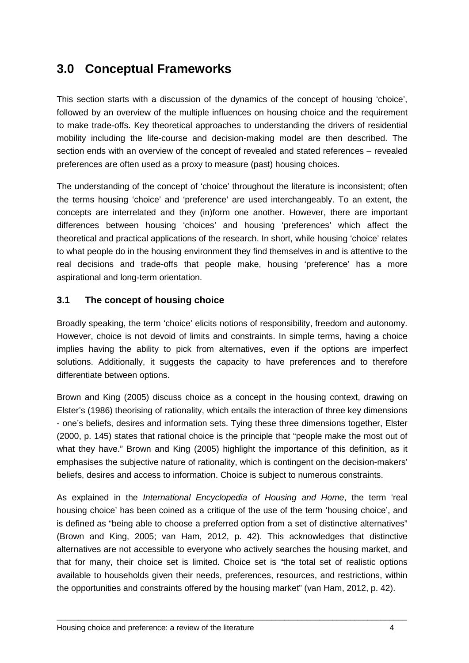## <span id="page-7-0"></span>**3.0 Conceptual Frameworks**

This section starts with a discussion of the dynamics of the concept of housing 'choice', followed by an overview of the multiple influences on housing choice and the requirement to make trade-offs. Key theoretical approaches to understanding the drivers of residential mobility including the life-course and decision-making model are then described. The section ends with an overview of the concept of revealed and stated references – revealed preferences are often used as a proxy to measure (past) housing choices.

The understanding of the concept of 'choice' throughout the literature is inconsistent; often the terms housing 'choice' and 'preference' are used interchangeably. To an extent, the concepts are interrelated and they (in)form one another. However, there are important differences between housing 'choices' and housing 'preferences' which affect the theoretical and practical applications of the research. In short, while housing 'choice' relates to what people do in the housing environment they find themselves in and is attentive to the real decisions and trade-offs that people make, housing 'preference' has a more aspirational and long-term orientation.

#### <span id="page-7-1"></span>**3.1 The concept of housing choice**

Broadly speaking, the term 'choice' elicits notions of responsibility, freedom and autonomy. However, choice is not devoid of limits and constraints. In simple terms, having a choice implies having the ability to pick from alternatives, even if the options are imperfect solutions. Additionally, it suggests the capacity to have preferences and to therefore differentiate between options.

Brown and King (2005) discuss choice as a concept in the housing context, drawing on Elster's (1986) theorising of rationality, which entails the interaction of three key dimensions - one's beliefs, desires and information sets. Tying these three dimensions together, Elster (2000, p. 145) states that rational choice is the principle that "people make the most out of what they have." Brown and King (2005) highlight the importance of this definition, as it emphasises the subjective nature of rationality, which is contingent on the decision-makers' beliefs, desires and access to information. Choice is subject to numerous constraints.

As explained in the *International Encyclopedia of Housing and Home*, the term 'real housing choice' has been coined as a critique of the use of the term 'housing choice', and is defined as "being able to choose a preferred option from a set of distinctive alternatives" (Brown and King, 2005; van Ham, 2012, p. 42). This acknowledges that distinctive alternatives are not accessible to everyone who actively searches the housing market, and that for many, their choice set is limited. Choice set is "the total set of realistic options available to households given their needs, preferences, resources, and restrictions, within the opportunities and constraints offered by the housing market" (van Ham, 2012, p. 42).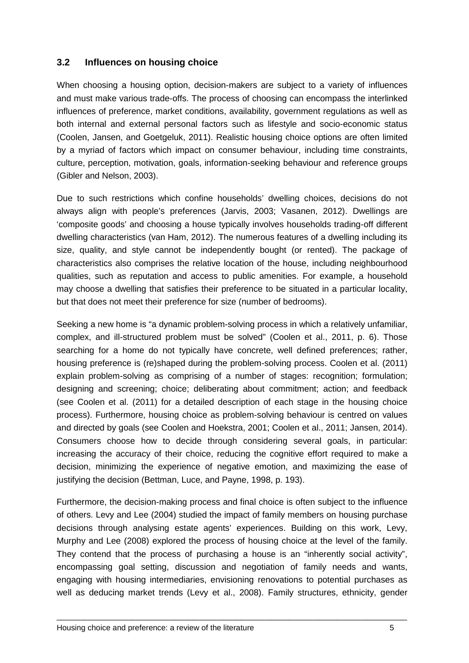#### <span id="page-8-0"></span>**3.2 Influences on housing choice**

When choosing a housing option, decision-makers are subject to a variety of influences and must make various trade-offs. The process of choosing can encompass the interlinked influences of preference, market conditions, availability, government regulations as well as both internal and external personal factors such as lifestyle and socio-economic status (Coolen, Jansen, and Goetgeluk, 2011). Realistic housing choice options are often limited by a myriad of factors which impact on consumer behaviour, including time constraints, culture, perception, motivation, goals, information-seeking behaviour and reference groups (Gibler and Nelson, 2003).

Due to such restrictions which confine households' dwelling choices, decisions do not always align with people's preferences (Jarvis, 2003; Vasanen, 2012). Dwellings are 'composite goods' and choosing a house typically involves households trading-off different dwelling characteristics (van Ham, 2012). The numerous features of a dwelling including its size, quality, and style cannot be independently bought (or rented). The package of characteristics also comprises the relative location of the house, including neighbourhood qualities, such as reputation and access to public amenities. For example, a household may choose a dwelling that satisfies their preference to be situated in a particular locality, but that does not meet their preference for size (number of bedrooms).

Seeking a new home is "a dynamic problem-solving process in which a relatively unfamiliar, complex, and ill-structured problem must be solved" (Coolen et al., 2011, p. 6). Those searching for a home do not typically have concrete, well defined preferences; rather, housing preference is (re)shaped during the problem-solving process. Coolen et al. (2011) explain problem-solving as comprising of a number of stages: recognition; formulation; designing and screening; choice; deliberating about commitment; action; and feedback (see Coolen et al. (2011) for a detailed description of each stage in the housing choice process). Furthermore, housing choice as problem-solving behaviour is centred on values and directed by goals (see Coolen and Hoekstra, 2001; Coolen et al., 2011; Jansen, 2014). Consumers choose how to decide through considering several goals, in particular: increasing the accuracy of their choice, reducing the cognitive effort required to make a decision, minimizing the experience of negative emotion, and maximizing the ease of justifying the decision (Bettman, Luce, and Payne, 1998, p. 193).

Furthermore, the decision-making process and final choice is often subject to the influence of others. Levy and Lee (2004) studied the impact of family members on housing purchase decisions through analysing estate agents' experiences. Building on this work, Levy, Murphy and Lee (2008) explored the process of housing choice at the level of the family. They contend that the process of purchasing a house is an "inherently social activity", encompassing goal setting, discussion and negotiation of family needs and wants, engaging with housing intermediaries, envisioning renovations to potential purchases as well as deducing market trends (Levy et al., 2008). Family structures, ethnicity, gender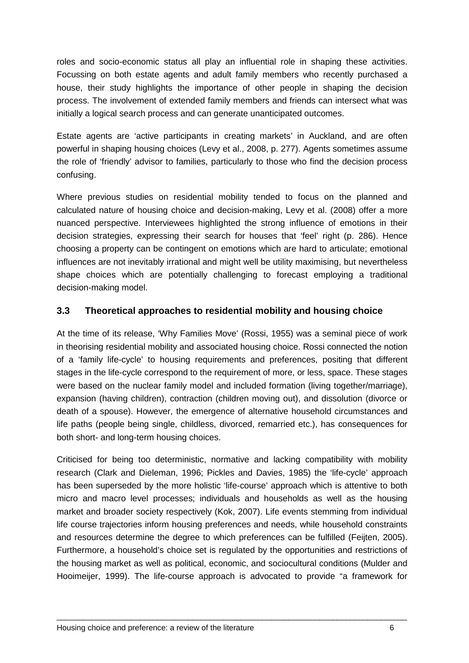roles and socio-economic status all play an influential role in shaping these activities. Focussing on both estate agents and adult family members who recently purchased a house, their study highlights the importance of other people in shaping the decision process. The involvement of extended family members and friends can intersect what was initially a logical search process and can generate unanticipated outcomes.

Estate agents are 'active participants in creating markets' in Auckland, and are often powerful in shaping housing choices (Levy et al., 2008, p. 277). Agents sometimes assume the role of 'friendly' advisor to families, particularly to those who find the decision process confusing.

Where previous studies on residential mobility tended to focus on the planned and calculated nature of housing choice and decision-making, Levy et al. (2008) offer a more nuanced perspective. Interviewees highlighted the strong influence of emotions in their decision strategies, expressing their search for houses that 'feel' right (p. 286). Hence choosing a property can be contingent on emotions which are hard to articulate; emotional influences are not inevitably irrational and might well be utility maximising, but nevertheless shape choices which are potentially challenging to forecast employing a traditional decision-making model.

#### <span id="page-9-0"></span>**3.3 Theoretical approaches to residential mobility and housing choice**

At the time of its release, 'Why Families Move' (Rossi, 1955) was a seminal piece of work in theorising residential mobility and associated housing choice. Rossi connected the notion of a 'family life-cycle' to housing requirements and preferences, positing that different stages in the life-cycle correspond to the requirement of more, or less, space. These stages were based on the nuclear family model and included formation (living together/marriage), expansion (having children), contraction (children moving out), and dissolution (divorce or death of a spouse). However, the emergence of alternative household circumstances and life paths (people being single, childless, divorced, remarried etc.), has consequences for both short- and long-term housing choices.

Criticised for being too deterministic, normative and lacking compatibility with mobility research (Clark and Dieleman, 1996; Pickles and Davies, 1985) the 'life-cycle' approach has been superseded by the more holistic 'life-course' approach which is attentive to both micro and macro level processes; individuals and households as well as the housing market and broader society respectively (Kok, 2007). Life events stemming from individual life course trajectories inform housing preferences and needs, while household constraints and resources determine the degree to which preferences can be fulfilled (Feijten, 2005). Furthermore, a household's choice set is regulated by the opportunities and restrictions of the housing market as well as political, economic, and sociocultural conditions (Mulder and Hooimeijer, 1999). The life-course approach is advocated to provide "a framework for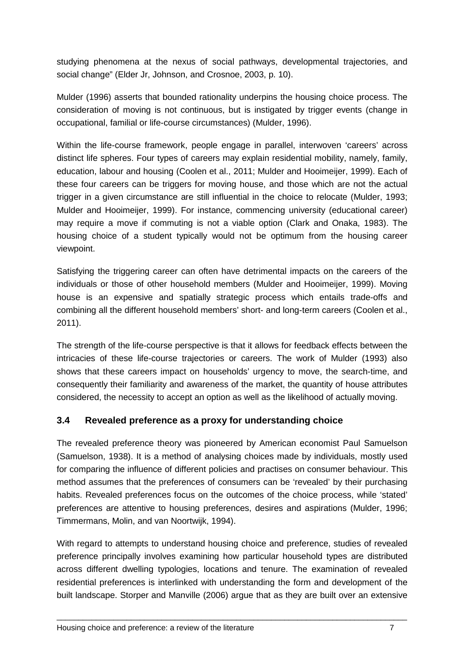studying phenomena at the nexus of social pathways, developmental trajectories, and social change" (Elder Jr, Johnson, and Crosnoe, 2003, p. 10).

Mulder (1996) asserts that bounded rationality underpins the housing choice process. The consideration of moving is not continuous, but is instigated by trigger events (change in occupational, familial or life-course circumstances) (Mulder, 1996).

Within the life-course framework, people engage in parallel, interwoven 'careers' across distinct life spheres. Four types of careers may explain residential mobility, namely, family, education, labour and housing (Coolen et al., 2011; Mulder and Hooimeijer, 1999). Each of these four careers can be triggers for moving house, and those which are not the actual trigger in a given circumstance are still influential in the choice to relocate (Mulder, 1993; Mulder and Hooimeijer, 1999). For instance, commencing university (educational career) may require a move if commuting is not a viable option (Clark and Onaka, 1983). The housing choice of a student typically would not be optimum from the housing career viewpoint.

Satisfying the triggering career can often have detrimental impacts on the careers of the individuals or those of other household members (Mulder and Hooimeijer, 1999). Moving house is an expensive and spatially strategic process which entails trade-offs and combining all the different household members' short- and long-term careers (Coolen et al., 2011).

The strength of the life-course perspective is that it allows for feedback effects between the intricacies of these life-course trajectories or careers. The work of Mulder (1993) also shows that these careers impact on households' urgency to move, the search-time, and consequently their familiarity and awareness of the market, the quantity of house attributes considered, the necessity to accept an option as well as the likelihood of actually moving.

#### <span id="page-10-0"></span>**3.4 Revealed preference as a proxy for understanding choice**

The revealed preference theory was pioneered by American economist Paul Samuelson (Samuelson, 1938). It is a method of analysing choices made by individuals, mostly used for comparing the influence of different policies and practises on consumer behaviour. This method assumes that the preferences of consumers can be 'revealed' by their purchasing habits. Revealed preferences focus on the outcomes of the choice process, while 'stated' preferences are attentive to housing preferences, desires and aspirations (Mulder, 1996; Timmermans, Molin, and van Noortwijk, 1994).

With regard to attempts to understand housing choice and preference, studies of revealed preference principally involves examining how particular household types are distributed across different dwelling typologies, locations and tenure. The examination of revealed residential preferences is interlinked with understanding the form and development of the built landscape. Storper and Manville (2006) argue that as they are built over an extensive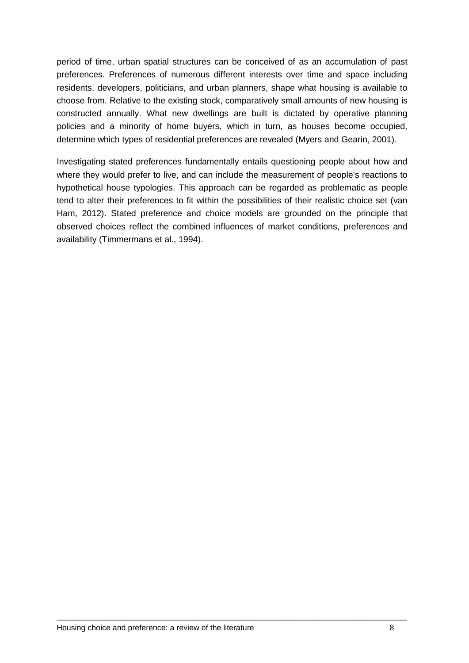period of time, urban spatial structures can be conceived of as an accumulation of past preferences. Preferences of numerous different interests over time and space including residents, developers, politicians, and urban planners, shape what housing is available to choose from. Relative to the existing stock, comparatively small amounts of new housing is constructed annually. What new dwellings are built is dictated by operative planning policies and a minority of home buyers, which in turn, as houses become occupied, determine which types of residential preferences are revealed (Myers and Gearin, 2001).

Investigating stated preferences fundamentally entails questioning people about how and where they would prefer to live, and can include the measurement of people's reactions to hypothetical house typologies. This approach can be regarded as problematic as people tend to alter their preferences to fit within the possibilities of their realistic choice set (van Ham, 2012). Stated preference and choice models are grounded on the principle that observed choices reflect the combined influences of market conditions, preferences and availability (Timmermans et al., 1994).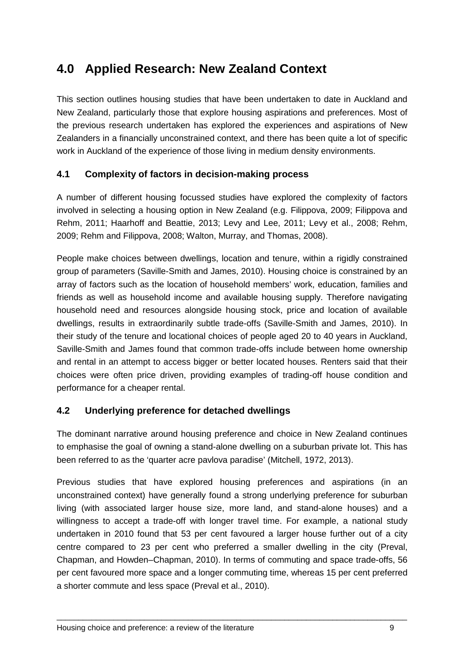## <span id="page-12-0"></span>**4.0 Applied Research: New Zealand Context**

This section outlines housing studies that have been undertaken to date in Auckland and New Zealand, particularly those that explore housing aspirations and preferences. Most of the previous research undertaken has explored the experiences and aspirations of New Zealanders in a financially unconstrained context, and there has been quite a lot of specific work in Auckland of the experience of those living in medium density environments.

#### <span id="page-12-1"></span>**4.1 Complexity of factors in decision-making process**

A number of different housing focussed studies have explored the complexity of factors involved in selecting a housing option in New Zealand (e.g. Filippova, 2009; Filippova and Rehm, 2011; Haarhoff and Beattie, 2013; Levy and Lee, 2011; Levy et al., 2008; Rehm, 2009; Rehm and Filippova, 2008; Walton, Murray, and Thomas, 2008).

People make choices between dwellings, location and tenure, within a rigidly constrained group of parameters (Saville-Smith and James, 2010). Housing choice is constrained by an array of factors such as the location of household members' work, education, families and friends as well as household income and available housing supply. Therefore navigating household need and resources alongside housing stock, price and location of available dwellings, results in extraordinarily subtle trade-offs (Saville-Smith and James, 2010). In their study of the tenure and locational choices of people aged 20 to 40 years in Auckland, Saville-Smith and James found that common trade-offs include between home ownership and rental in an attempt to access bigger or better located houses. Renters said that their choices were often price driven, providing examples of trading-off house condition and performance for a cheaper rental.

#### <span id="page-12-2"></span>**4.2 Underlying preference for detached dwellings**

The dominant narrative around housing preference and choice in New Zealand continues to emphasise the goal of owning a stand-alone dwelling on a suburban private lot. This has been referred to as the 'quarter acre pavlova paradise' (Mitchell, 1972, 2013).

Previous studies that have explored housing preferences and aspirations (in an unconstrained context) have generally found a strong underlying preference for suburban living (with associated larger house size, more land, and stand-alone houses) and a willingness to accept a trade-off with longer travel time. For example, a national study undertaken in 2010 found that 53 per cent favoured a larger house further out of a city centre compared to 23 per cent who preferred a smaller dwelling in the city (Preval, Chapman, and Howden–Chapman, 2010). In terms of commuting and space trade-offs, 56 per cent favoured more space and a longer commuting time, whereas 15 per cent preferred a shorter commute and less space (Preval et al., 2010).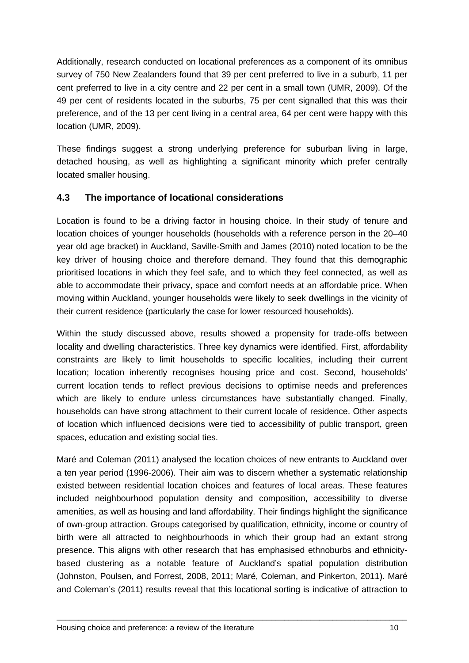Additionally, research conducted on locational preferences as a component of its omnibus survey of 750 New Zealanders found that 39 per cent preferred to live in a suburb, 11 per cent preferred to live in a city centre and 22 per cent in a small town (UMR, 2009). Of the 49 per cent of residents located in the suburbs, 75 per cent signalled that this was their preference, and of the 13 per cent living in a central area, 64 per cent were happy with this location (UMR, 2009).

These findings suggest a strong underlying preference for suburban living in large, detached housing, as well as highlighting a significant minority which prefer centrally located smaller housing.

#### <span id="page-13-0"></span>**4.3 The importance of locational considerations**

Location is found to be a driving factor in housing choice. In their study of tenure and location choices of younger households (households with a reference person in the 20–40 year old age bracket) in Auckland, Saville-Smith and James (2010) noted location to be the key driver of housing choice and therefore demand. They found that this demographic prioritised locations in which they feel safe, and to which they feel connected, as well as able to accommodate their privacy, space and comfort needs at an affordable price. When moving within Auckland, younger households were likely to seek dwellings in the vicinity of their current residence (particularly the case for lower resourced households).

Within the study discussed above, results showed a propensity for trade-offs between locality and dwelling characteristics. Three key dynamics were identified. First, affordability constraints are likely to limit households to specific localities, including their current location; location inherently recognises housing price and cost. Second, households' current location tends to reflect previous decisions to optimise needs and preferences which are likely to endure unless circumstances have substantially changed. Finally, households can have strong attachment to their current locale of residence. Other aspects of location which influenced decisions were tied to accessibility of public transport, green spaces, education and existing social ties.

Maré and Coleman (2011) analysed the location choices of new entrants to Auckland over a ten year period (1996-2006). Their aim was to discern whether a systematic relationship existed between residential location choices and features of local areas. These features included neighbourhood population density and composition, accessibility to diverse amenities, as well as housing and land affordability. Their findings highlight the significance of own-group attraction. Groups categorised by qualification, ethnicity, income or country of birth were all attracted to neighbourhoods in which their group had an extant strong presence. This aligns with other research that has emphasised ethnoburbs and ethnicitybased clustering as a notable feature of Auckland's spatial population distribution (Johnston, Poulsen, and Forrest, 2008, 2011; Maré, Coleman, and Pinkerton, 2011). Maré and Coleman's (2011) results reveal that this locational sorting is indicative of attraction to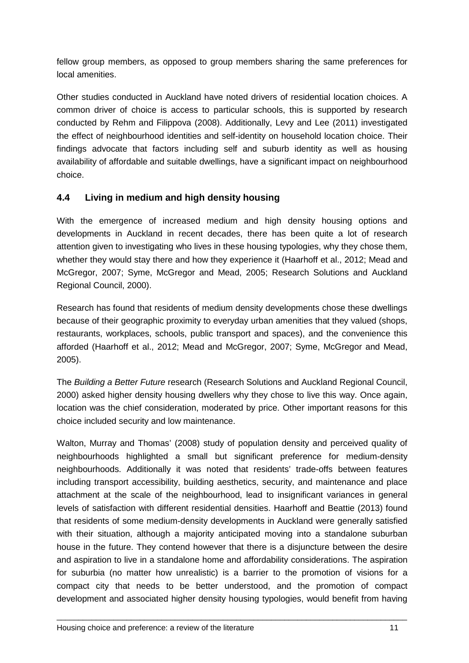fellow group members, as opposed to group members sharing the same preferences for local amenities.

Other studies conducted in Auckland have noted drivers of residential location choices. A common driver of choice is access to particular schools, this is supported by research conducted by Rehm and Filippova (2008). Additionally, Levy and Lee (2011) investigated the effect of neighbourhood identities and self-identity on household location choice. Their findings advocate that factors including self and suburb identity as well as housing availability of affordable and suitable dwellings, have a significant impact on neighbourhood choice.

#### <span id="page-14-0"></span>**4.4 Living in medium and high density housing**

With the emergence of increased medium and high density housing options and developments in Auckland in recent decades, there has been quite a lot of research attention given to investigating who lives in these housing typologies, why they chose them, whether they would stay there and how they experience it (Haarhoff et al., 2012; Mead and McGregor, 2007; Syme, McGregor and Mead, 2005; Research Solutions and Auckland Regional Council, 2000).

Research has found that residents of medium density developments chose these dwellings because of their geographic proximity to everyday urban amenities that they valued (shops, restaurants, workplaces, schools, public transport and spaces), and the convenience this afforded (Haarhoff et al., 2012; Mead and McGregor, 2007; Syme, McGregor and Mead, 2005).

The *Building a Better Future* research (Research Solutions and Auckland Regional Council, 2000) asked higher density housing dwellers why they chose to live this way. Once again, location was the chief consideration, moderated by price. Other important reasons for this choice included security and low maintenance.

Walton, Murray and Thomas' (2008) study of population density and perceived quality of neighbourhoods highlighted a small but significant preference for medium-density neighbourhoods. Additionally it was noted that residents' trade-offs between features including transport accessibility, building aesthetics, security, and maintenance and place attachment at the scale of the neighbourhood, lead to insignificant variances in general levels of satisfaction with different residential densities. Haarhoff and Beattie (2013) found that residents of some medium-density developments in Auckland were generally satisfied with their situation, although a majority anticipated moving into a standalone suburban house in the future. They contend however that there is a disjuncture between the desire and aspiration to live in a standalone home and affordability considerations. The aspiration for suburbia (no matter how unrealistic) is a barrier to the promotion of visions for a compact city that needs to be better understood, and the promotion of compact development and associated higher density housing typologies, would benefit from having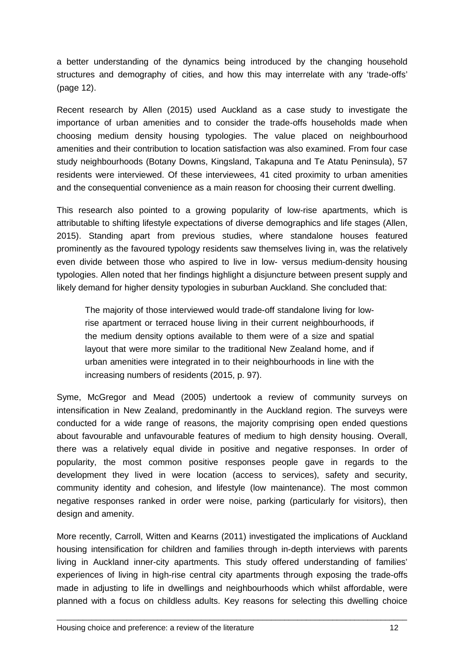a better understanding of the dynamics being introduced by the changing household structures and demography of cities, and how this may interrelate with any 'trade-offs' (page 12).

Recent research by Allen (2015) used Auckland as a case study to investigate the importance of urban amenities and to consider the trade-offs households made when choosing medium density housing typologies. The value placed on neighbourhood amenities and their contribution to location satisfaction was also examined. From four case study neighbourhoods (Botany Downs, Kingsland, Takapuna and Te Atatu Peninsula), 57 residents were interviewed. Of these interviewees, 41 cited proximity to urban amenities and the consequential convenience as a main reason for choosing their current dwelling.

This research also pointed to a growing popularity of low-rise apartments, which is attributable to shifting lifestyle expectations of diverse demographics and life stages (Allen, 2015). Standing apart from previous studies, where standalone houses featured prominently as the favoured typology residents saw themselves living in, was the relatively even divide between those who aspired to live in low- versus medium-density housing typologies. Allen noted that her findings highlight a disjuncture between present supply and likely demand for higher density typologies in suburban Auckland. She concluded that:

The majority of those interviewed would trade-off standalone living for lowrise apartment or terraced house living in their current neighbourhoods, if the medium density options available to them were of a size and spatial layout that were more similar to the traditional New Zealand home, and if urban amenities were integrated in to their neighbourhoods in line with the increasing numbers of residents (2015, p. 97).

Syme, McGregor and Mead (2005) undertook a review of community surveys on intensification in New Zealand, predominantly in the Auckland region. The surveys were conducted for a wide range of reasons, the majority comprising open ended questions about favourable and unfavourable features of medium to high density housing. Overall, there was a relatively equal divide in positive and negative responses. In order of popularity, the most common positive responses people gave in regards to the development they lived in were location (access to services), safety and security, community identity and cohesion, and lifestyle (low maintenance). The most common negative responses ranked in order were noise, parking (particularly for visitors), then design and amenity.

More recently, Carroll, Witten and Kearns (2011) investigated the implications of Auckland housing intensification for children and families through in-depth interviews with parents living in Auckland inner-city apartments. This study offered understanding of families' experiences of living in high-rise central city apartments through exposing the trade-offs made in adjusting to life in dwellings and neighbourhoods which whilst affordable, were planned with a focus on childless adults. Key reasons for selecting this dwelling choice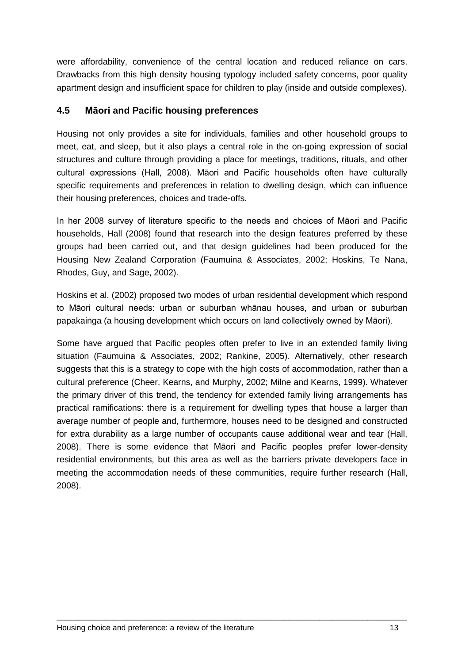were affordability, convenience of the central location and reduced reliance on cars. Drawbacks from this high density housing typology included safety concerns, poor quality apartment design and insufficient space for children to play (inside and outside complexes).

#### <span id="page-16-0"></span>**4.5 Māori and Pacific housing preferences**

Housing not only provides a site for individuals, families and other household groups to meet, eat, and sleep, but it also plays a central role in the on-going expression of social structures and culture through providing a place for meetings, traditions, rituals, and other cultural expressions (Hall, 2008). Māori and Pacific households often have culturally specific requirements and preferences in relation to dwelling design, which can influence their housing preferences, choices and trade-offs.

In her 2008 survey of literature specific to the needs and choices of Māori and Pacific households, Hall (2008) found that research into the design features preferred by these groups had been carried out, and that design guidelines had been produced for the Housing New Zealand Corporation (Faumuina & Associates, 2002; Hoskins, Te Nana, Rhodes, Guy, and Sage, 2002).

Hoskins et al. (2002) proposed two modes of urban residential development which respond to Māori cultural needs: urban or suburban whānau houses, and urban or suburban papakainga (a housing development which occurs on land collectively owned by Māori).

Some have argued that Pacific peoples often prefer to live in an extended family living situation (Faumuina & Associates, 2002; Rankine, 2005). Alternatively, other research suggests that this is a strategy to cope with the high costs of accommodation, rather than a cultural preference (Cheer, Kearns, and Murphy, 2002; Milne and Kearns, 1999). Whatever the primary driver of this trend, the tendency for extended family living arrangements has practical ramifications: there is a requirement for dwelling types that house a larger than average number of people and, furthermore, houses need to be designed and constructed for extra durability as a large number of occupants cause additional wear and tear (Hall, 2008). There is some evidence that Māori and Pacific peoples prefer lower-density residential environments, but this area as well as the barriers private developers face in meeting the accommodation needs of these communities, require further research (Hall, 2008).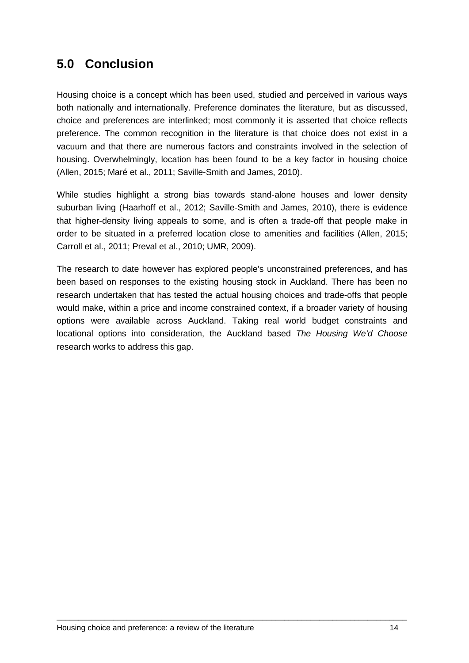## <span id="page-17-0"></span>**5.0 Conclusion**

Housing choice is a concept which has been used, studied and perceived in various ways both nationally and internationally. Preference dominates the literature, but as discussed, choice and preferences are interlinked; most commonly it is asserted that choice reflects preference. The common recognition in the literature is that choice does not exist in a vacuum and that there are numerous factors and constraints involved in the selection of housing. Overwhelmingly, location has been found to be a key factor in housing choice (Allen, 2015; Maré et al., 2011; Saville-Smith and James, 2010).

While studies highlight a strong bias towards stand-alone houses and lower density suburban living (Haarhoff et al., 2012; Saville-Smith and James, 2010), there is evidence that higher-density living appeals to some, and is often a trade-off that people make in order to be situated in a preferred location close to amenities and facilities (Allen, 2015; Carroll et al., 2011; Preval et al., 2010; UMR, 2009).

The research to date however has explored people's unconstrained preferences, and has been based on responses to the existing housing stock in Auckland. There has been no research undertaken that has tested the actual housing choices and trade-offs that people would make, within a price and income constrained context, if a broader variety of housing options were available across Auckland. Taking real world budget constraints and locational options into consideration, the Auckland based *The Housing We'd Choose* research works to address this gap.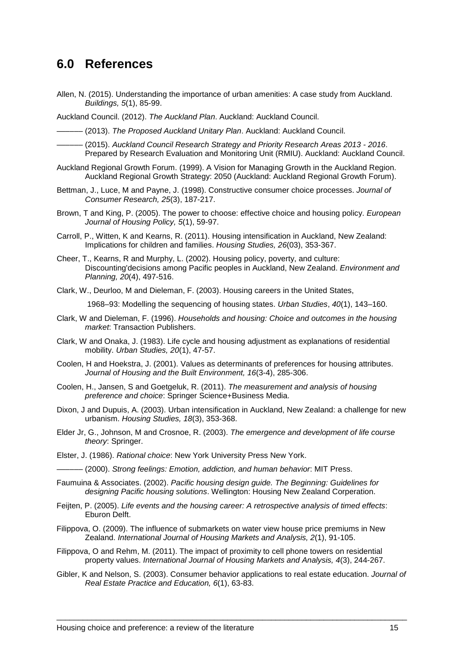### <span id="page-18-0"></span>**6.0 References**

Allen, N. (2015). Understanding the importance of urban amenities: A case study from Auckland. *Buildings, 5*(1), 85-99.

Auckland Council. (2012). *The Auckland Plan*. Auckland: Auckland Council.

(2013). *The Proposed Auckland Unitary Plan.* Auckland: Auckland Council.

- –––––– (2015). *Auckland Council Research Strategy and Priority Research Areas 2013 - 2016*. Prepared by Research Evaluation and Monitoring Unit (RMIU). Auckland: Auckland Council.
- Auckland Regional Growth Forum. (1999). A Vision for Managing Growth in the Auckland Region. Auckland Regional Growth Strategy: 2050 (Auckland: Auckland Regional Growth Forum).
- Bettman, J., Luce, M and Payne, J. (1998). Constructive consumer choice processes. *Journal of Consumer Research, 25*(3), 187-217.
- Brown, T and King, P. (2005). The power to choose: effective choice and housing policy. *European Journal of Housing Policy, 5*(1), 59-97.
- Carroll, P., Witten, K and Kearns, R. (2011). Housing intensification in Auckland, New Zealand: Implications for children and families. *Housing Studies, 26*(03), 353-367.
- Cheer, T., Kearns, R and Murphy, L. (2002). Housing policy, poverty, and culture: Discounting'decisions among Pacific peoples in Auckland, New Zealand. *Environment and Planning, 20*(4), 497-516.
- Clark, W., Deurloo, M and Dieleman, F. (2003). Housing careers in the United States,

1968–93: Modelling the sequencing of housing states. *Urban Studies*, *40*(1), 143–160.

- Clark, W and Dieleman, F. (1996). *Households and housing: Choice and outcomes in the housing market*: Transaction Publishers.
- Clark, W and Onaka, J. (1983). Life cycle and housing adjustment as explanations of residential mobility. *Urban Studies, 20*(1), 47-57.
- Coolen, H and Hoekstra, J. (2001). Values as determinants of preferences for housing attributes. *Journal of Housing and the Built Environment, 16*(3-4), 285-306.
- Coolen, H., Jansen, S and Goetgeluk, R. (2011). *The measurement and analysis of housing preference and choice*: Springer Science+Business Media.
- Dixon, J and Dupuis, A. (2003). Urban intensification in Auckland, New Zealand: a challenge for new urbanism. *Housing Studies, 18*(3), 353-368.
- Elder Jr, G., Johnson, M and Crosnoe, R. (2003). *The emergence and development of life course theory*: Springer.
- Elster, J. (1986). *Rational choice*: New York University Press New York.
	- –––––– (2000). *Strong feelings: Emotion, addiction, and human behavior*: MIT Press.
- Faumuina & Associates. (2002). *Pacific housing design guide. The Beginning: Guidelines for designing Pacific housing solutions*. Wellington: Housing New Zealand Corperation.
- Feijten, P. (2005). *Life events and the housing career: A retrospective analysis of timed effects*: Eburon Delft.
- Filippova, O. (2009). The influence of submarkets on water view house price premiums in New Zealand. *International Journal of Housing Markets and Analysis, 2*(1), 91-105.
- Filippova, O and Rehm, M. (2011). The impact of proximity to cell phone towers on residential property values. *International Journal of Housing Markets and Analysis, 4*(3), 244-267.
- Gibler, K and Nelson, S. (2003). Consumer behavior applications to real estate education. *Journal of Real Estate Practice and Education, 6*(1), 63-83.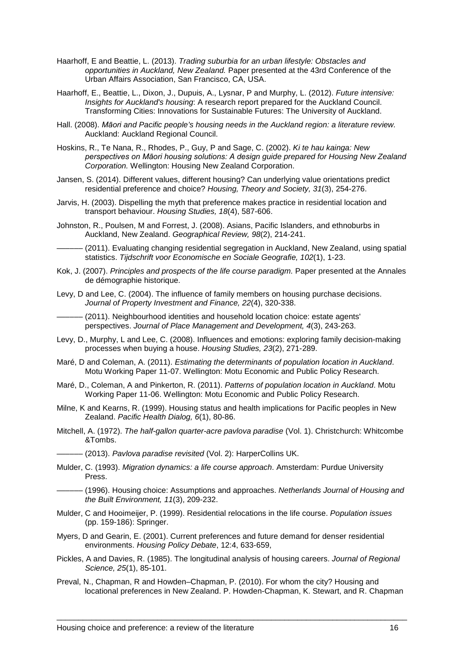- Haarhoff, E and Beattie, L. (2013). *Trading suburbia for an urban lifestyle: Obstacles and opportunities in Auckland, New Zealand.* Paper presented at the 43rd Conference of the Urban Affairs Association, San Francisco, CA, USA.
- Haarhoff, E., Beattie, L., Dixon, J., Dupuis, A., Lysnar, P and Murphy, L. (2012). *Future intensive: Insights for Auckland's housing*: A research report prepared for the Auckland Council. Transforming Cities: Innovations for Sustainable Futures: The University of Auckland.
- Hall. (2008). *Māori and Pacific people's housing needs in the Auckland region: a literature review.* Auckland: Auckland Regional Council.
- Hoskins, R., Te Nana, R., Rhodes, P., Guy, P and Sage, C. (2002). *Ki te hau kainga: New perspectives on Māori housing solutions: A design guide prepared for Housing New Zealand Corporation.* Wellington: Housing New Zealand Corporation.
- Jansen, S. (2014). Different values, different housing? Can underlying value orientations predict residential preference and choice? *Housing, Theory and Society, 31*(3), 254-276.
- Jarvis, H. (2003). Dispelling the myth that preference makes practice in residential location and transport behaviour. *Housing Studies, 18*(4), 587-606.
- Johnston, R., Poulsen, M and Forrest, J. (2008). Asians, Pacific Islanders, and ethnoburbs in Auckland, New Zealand. *Geographical Review, 98*(2), 214-241.
- (2011). Evaluating changing residential segregation in Auckland, New Zealand, using spatial statistics. *Tijdschrift voor Economische en Sociale Geografie, 102*(1), 1-23.
- Kok, J. (2007). *Principles and prospects of the life course paradigm.* Paper presented at the Annales de démographie historique.
- Levy, D and Lee, C. (2004). The influence of family members on housing purchase decisions. *Journal of Property Investment and Finance, 22*(4), 320-338.

(2011). Neighbourhood identities and household location choice: estate agents' perspectives. *Journal of Place Management and Development, 4*(3), 243-263.

- Levy, D., Murphy, L and Lee, C. (2008). Influences and emotions: exploring family decision-making processes when buying a house. *Housing Studies, 23*(2), 271-289.
- Maré, D and Coleman, A. (2011). *Estimating the determinants of population location in Auckland*. Motu Working Paper 11-07. Wellington: Motu Economic and Public Policy Research.
- Maré, D., Coleman, A and Pinkerton, R. (2011). *Patterns of population location in Auckland*. Motu Working Paper 11-06. Wellington: Motu Economic and Public Policy Research.
- Milne, K and Kearns, R. (1999). Housing status and health implications for Pacific peoples in New Zealand. *Pacific Health Dialog, 6*(1), 80-86.
- Mitchell, A. (1972). *The half-gallon quarter-acre pavlova paradise* (Vol. 1). Christchurch: Whitcombe &Tombs.
	- –––––– (2013). *Pavlova paradise revisited* (Vol. 2): HarperCollins UK.
- Mulder, C. (1993). *Migration dynamics: a life course approach*. Amsterdam: Purdue University Press.
- –––––– (1996). Housing choice: Assumptions and approaches. *Netherlands Journal of Housing and the Built Environment, 11*(3), 209-232.
- Mulder, C and Hooimeijer, P. (1999). Residential relocations in the life course. *Population issues* (pp. 159-186): Springer.
- Myers, D and Gearin, E. (2001). Current preferences and future demand for denser residential environments. *Housing Policy Debate*, 12:4, 633-659,
- Pickles, A and Davies, R. (1985). The longitudinal analysis of housing careers. *Journal of Regional Science, 25*(1), 85-101.
- Preval, N., Chapman, R and Howden–Chapman, P. (2010). For whom the city? Housing and locational preferences in New Zealand. P. Howden-Chapman, K. Stewart, and R. Chapman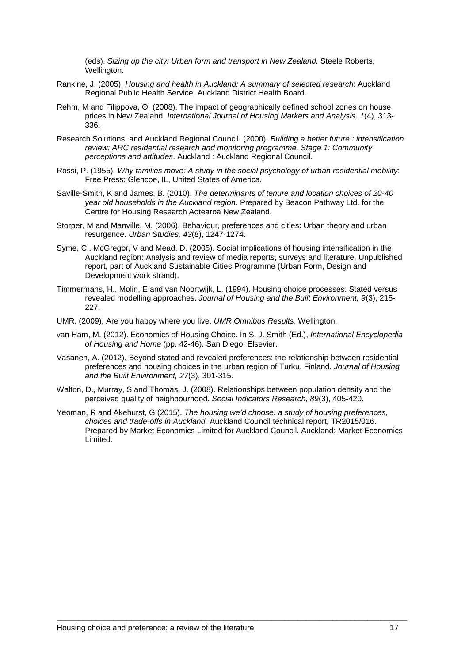(eds). *Sizing up the city: Urban form and transport in New Zealand.* Steele Roberts, Wellington.

- Rankine, J. (2005). *Housing and health in Auckland: A summary of selected research*: Auckland Regional Public Health Service, Auckland District Health Board.
- Rehm, M and Filippova, O. (2008). The impact of geographically defined school zones on house prices in New Zealand. *International Journal of Housing Markets and Analysis, 1*(4), 313- 336.
- Research Solutions, and Auckland Regional Council. (2000). *Building a better future : intensification review: ARC residential research and monitoring programme. Stage 1: Community perceptions and attitudes*. Auckland : Auckland Regional Council.
- Rossi, P. (1955). *Why families move: A study in the social psychology of urban residential mobility*: Free Press: Glencoe, IL, United States of America.
- Saville-Smith, K and James, B. (2010). *The determinants of tenure and location choices of 20-40 year old households in the Auckland region*. Prepared by Beacon Pathway Ltd. for the Centre for Housing Research Aotearoa New Zealand.
- Storper, M and Manville, M. (2006). Behaviour, preferences and cities: Urban theory and urban resurgence. *Urban Studies, 43*(8), 1247-1274.
- Syme, C., McGregor, V and Mead, D. (2005). Social implications of housing intensification in the Auckland region: Analysis and review of media reports, surveys and literature. Unpublished report, part of Auckland Sustainable Cities Programme (Urban Form, Design and Development work strand).
- Timmermans, H., Molin, E and van Noortwijk, L. (1994). Housing choice processes: Stated versus revealed modelling approaches. *Journal of Housing and the Built Environment, 9*(3), 215- 227.
- UMR. (2009). Are you happy where you live. *UMR Omnibus Results*. Wellington.
- van Ham, M. (2012). Economics of Housing Choice. In S. J. Smith (Ed.), *International Encyclopedia of Housing and Home* (pp. 42-46). San Diego: Elsevier.
- Vasanen, A. (2012). Beyond stated and revealed preferences: the relationship between residential preferences and housing choices in the urban region of Turku, Finland. *Journal of Housing and the Built Environment, 27*(3), 301-315.
- Walton, D., Murray, S and Thomas, J. (2008). Relationships between population density and the perceived quality of neighbourhood. *Social Indicators Research, 89*(3), 405-420.
- Yeoman, R and Akehurst, G (2015). *The housing we'd choose: a study of housing preferences, choices and trade-offs in Auckland.* Auckland Council technical report, TR2015/016. Prepared by Market Economics Limited for Auckland Council. Auckland: Market Economics Limited.